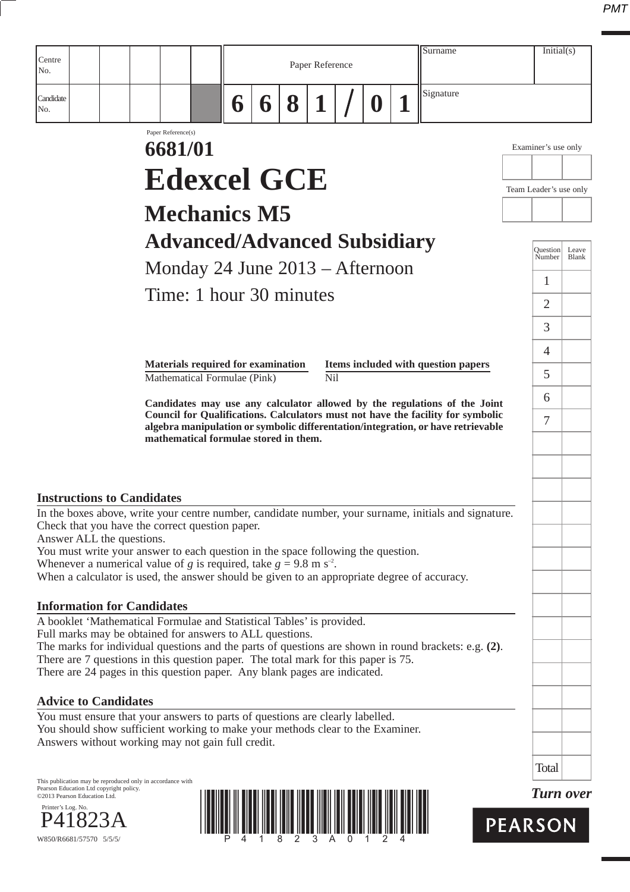| Centre<br>No.                                                                                                                                                                                                                                                                                                                                      |                                           | Surname<br>Paper Reference |   |   |     | Initial(s) |                                                                                                                                                                                                                                                  |                        |                  |
|----------------------------------------------------------------------------------------------------------------------------------------------------------------------------------------------------------------------------------------------------------------------------------------------------------------------------------------------------|-------------------------------------------|----------------------------|---|---|-----|------------|--------------------------------------------------------------------------------------------------------------------------------------------------------------------------------------------------------------------------------------------------|------------------------|------------------|
| Candidate<br>No.                                                                                                                                                                                                                                                                                                                                   |                                           | 6                          | 6 | 8 |     |            | Signature                                                                                                                                                                                                                                        |                        |                  |
|                                                                                                                                                                                                                                                                                                                                                    | Paper Reference(s)<br>6681/01             |                            |   |   |     |            |                                                                                                                                                                                                                                                  | Examiner's use only    |                  |
|                                                                                                                                                                                                                                                                                                                                                    | <b>Edexcel GCE</b>                        |                            |   |   |     |            |                                                                                                                                                                                                                                                  | Team Leader's use only |                  |
|                                                                                                                                                                                                                                                                                                                                                    | <b>Mechanics M5</b>                       |                            |   |   |     |            |                                                                                                                                                                                                                                                  |                        |                  |
|                                                                                                                                                                                                                                                                                                                                                    | <b>Advanced/Advanced Subsidiary</b>       |                            |   |   |     |            |                                                                                                                                                                                                                                                  | Ouestion               | Leave            |
|                                                                                                                                                                                                                                                                                                                                                    | Monday 24 June 2013 – Afternoon           |                            |   |   |     |            |                                                                                                                                                                                                                                                  | Number                 | Blank            |
|                                                                                                                                                                                                                                                                                                                                                    | Time: 1 hour 30 minutes                   |                            |   |   |     |            |                                                                                                                                                                                                                                                  | 1                      |                  |
|                                                                                                                                                                                                                                                                                                                                                    |                                           |                            |   |   |     |            |                                                                                                                                                                                                                                                  | $\overline{2}$<br>3    |                  |
|                                                                                                                                                                                                                                                                                                                                                    |                                           |                            |   |   |     |            |                                                                                                                                                                                                                                                  | $\overline{4}$         |                  |
|                                                                                                                                                                                                                                                                                                                                                    | <b>Materials required for examination</b> |                            |   |   |     |            | Items included with question papers                                                                                                                                                                                                              | 5                      |                  |
|                                                                                                                                                                                                                                                                                                                                                    | Mathematical Formulae (Pink)              |                            |   |   | Nil |            |                                                                                                                                                                                                                                                  | 6                      |                  |
|                                                                                                                                                                                                                                                                                                                                                    | mathematical formulae stored in them.     |                            |   |   |     |            | Candidates may use any calculator allowed by the regulations of the Joint<br>Council for Qualifications. Calculators must not have the facility for symbolic<br>algebra manipulation or symbolic differentation/integration, or have retrievable | 7                      |                  |
| <b>Instructions to Candidates</b>                                                                                                                                                                                                                                                                                                                  |                                           |                            |   |   |     |            | In the boxes above, write your centre number, candidate number, your surname, initials and signature.                                                                                                                                            |                        |                  |
| Check that you have the correct question paper.<br>Answer ALL the questions.<br>You must write your answer to each question in the space following the question.<br>Whenever a numerical value of g is required, take $g = 9.8$ m s <sup>-2</sup> .<br>When a calculator is used, the answer should be given to an appropriate degree of accuracy. |                                           |                            |   |   |     |            |                                                                                                                                                                                                                                                  |                        |                  |
| <b>Information for Candidates</b>                                                                                                                                                                                                                                                                                                                  |                                           |                            |   |   |     |            |                                                                                                                                                                                                                                                  |                        |                  |
| A booklet 'Mathematical Formulae and Statistical Tables' is provided.<br>Full marks may be obtained for answers to ALL questions.<br>There are 7 questions in this question paper. The total mark for this paper is 75.<br>There are 24 pages in this question paper. Any blank pages are indicated.                                               |                                           |                            |   |   |     |            | The marks for individual questions and the parts of questions are shown in round brackets: e.g. $(2)$ .                                                                                                                                          |                        |                  |
| <b>Advice to Candidates</b>                                                                                                                                                                                                                                                                                                                        |                                           |                            |   |   |     |            |                                                                                                                                                                                                                                                  |                        |                  |
| You must ensure that your answers to parts of questions are clearly labelled.<br>You should show sufficient working to make your methods clear to the Examiner.<br>Answers without working may not gain full credit.                                                                                                                               |                                           |                            |   |   |     |            |                                                                                                                                                                                                                                                  |                        |                  |
|                                                                                                                                                                                                                                                                                                                                                    |                                           |                            |   |   |     |            |                                                                                                                                                                                                                                                  | <b>Total</b>           |                  |
| This publication may be reproduced only in accordance with<br>Pearson Education Ltd copyright policy.<br>©2013 Pearson Education Ltd.<br>Printer's Log. No.<br>W850/R6681/57570 5/5/5/                                                                                                                                                             |                                           |                            |   |   |     |            |                                                                                                                                                                                                                                                  | <b>PEARSON</b>         | <b>Turn over</b> |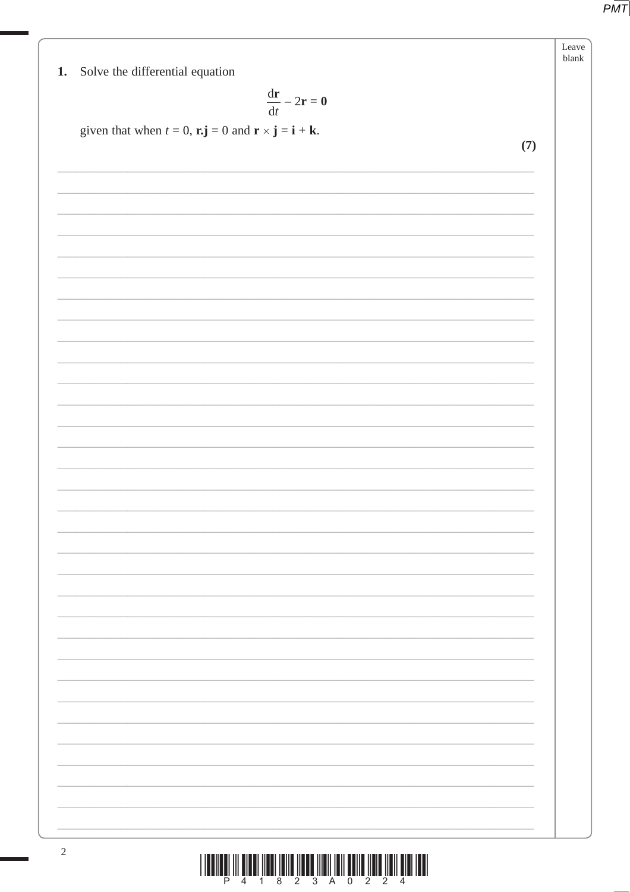Leave blank

## 1. Solve the differential equation

$$
\frac{\mathrm{d}\mathbf{r}}{\mathrm{d}t}-2\mathbf{r}=\mathbf{0}
$$

given that when  $t = 0$ ,  $\mathbf{r} \cdot \mathbf{j} = 0$  and  $\mathbf{r} \times \mathbf{j} = \mathbf{i} + \mathbf{k}$ .

 $(7)$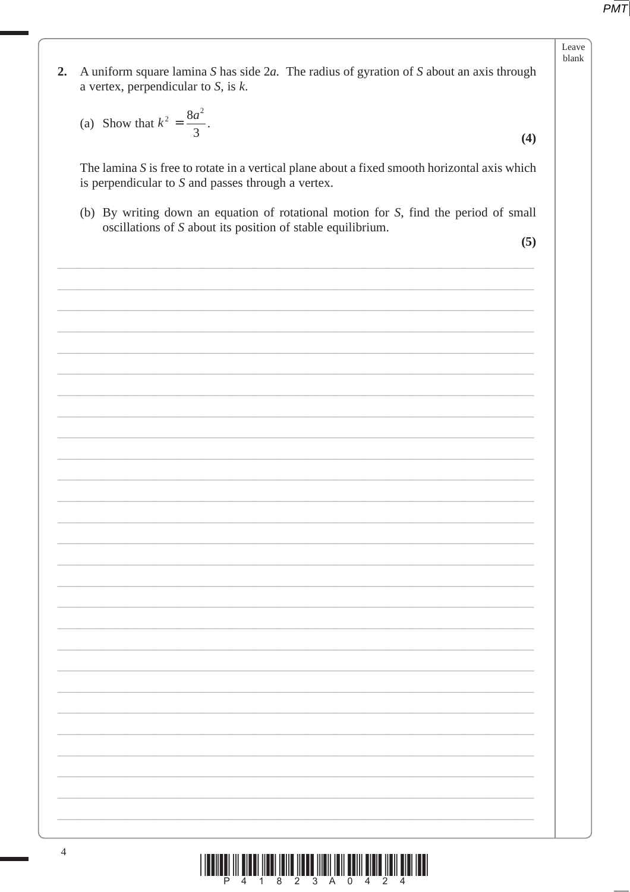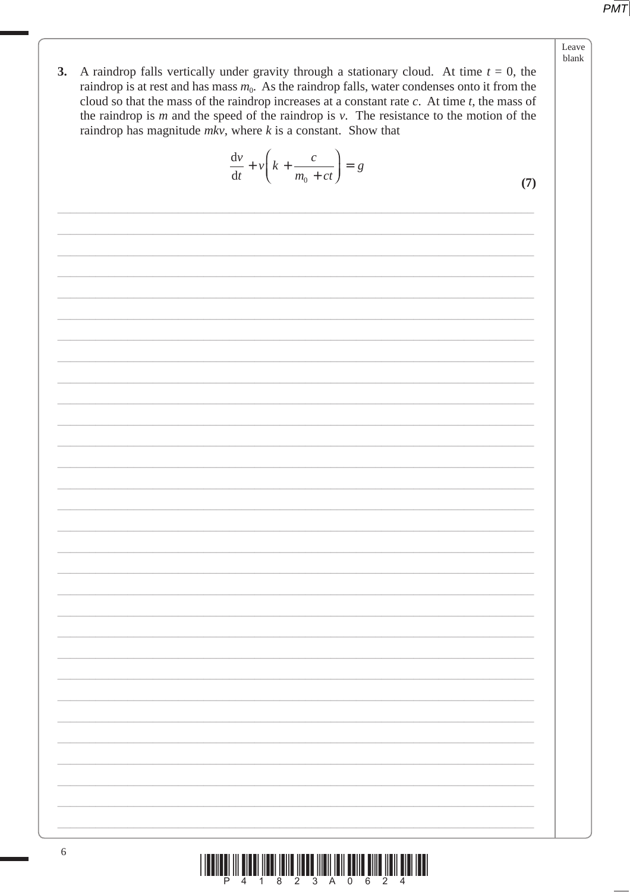- Leave blank
- 3. A raindrop falls vertically under gravity through a stationary cloud. At time  $t = 0$ , the raindrop is at rest and has mass  $m_0$ . As the raindrop falls, water condenses onto it from the cloud so that the mass of the raindrop increases at a constant rate  $c$ . At time  $t$ , the mass of the raindrop is  $m$  and the speed of the raindrop is  $v$ . The resistance to the motion of the raindrop has magnitude  $mkv$ , where  $k$  is a constant. Show that

$$
\frac{\mathrm{d}v}{\mathrm{d}t} + v \left( k + \frac{c}{m_0 + ct} \right) = g
$$

 $(7)$ 

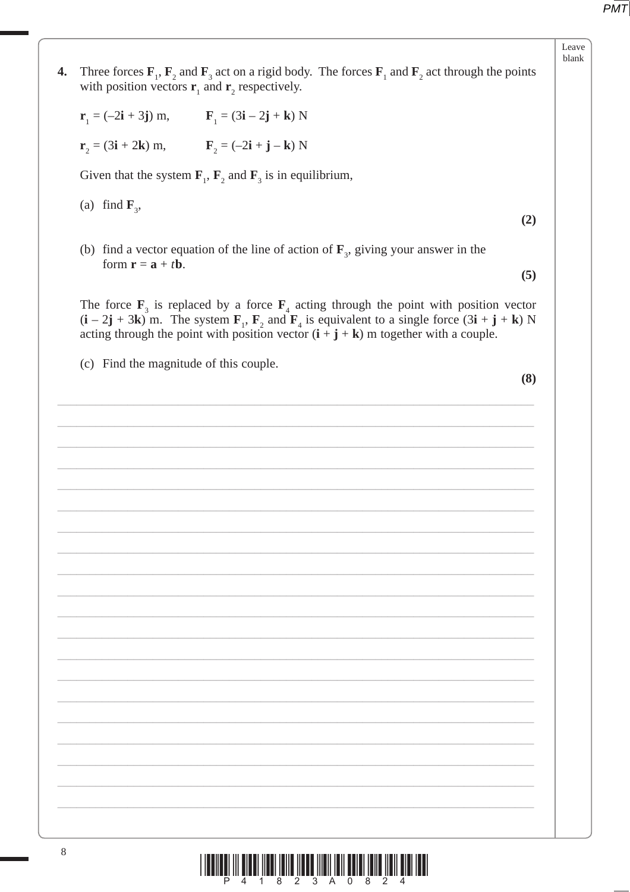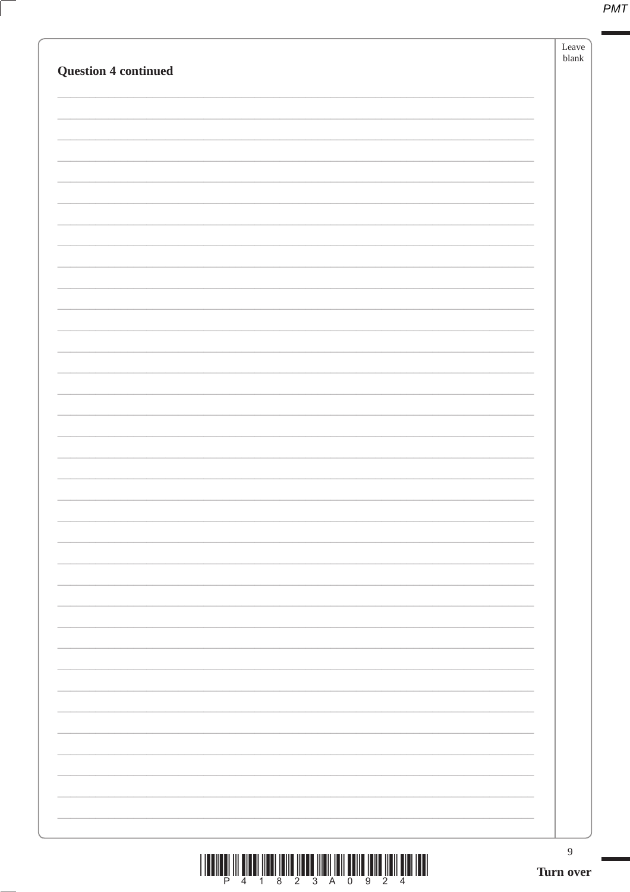|  | $\boldsymbol{9}$<br>Turn over |
|--|-------------------------------|
|  |                               |
|  |                               |
|  |                               |
|  |                               |
|  |                               |
|  |                               |
|  |                               |
|  |                               |
|  |                               |
|  |                               |
|  |                               |
|  |                               |
|  |                               |
|  |                               |
|  |                               |
|  |                               |
|  |                               |
|  |                               |
|  |                               |
|  |                               |
|  |                               |
|  |                               |
|  |                               |
|  |                               |
|  |                               |
|  |                               |
|  |                               |
|  |                               |
|  |                               |
|  |                               |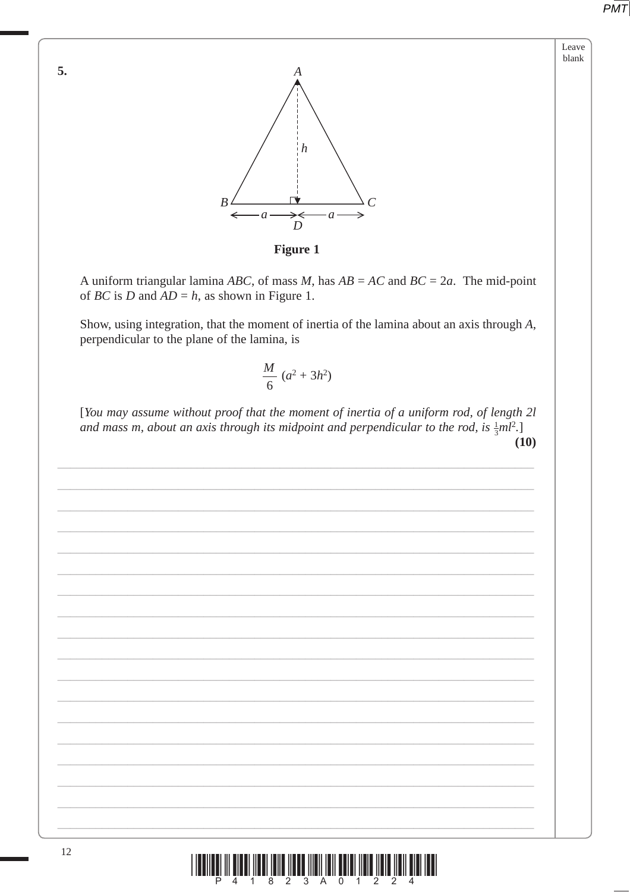Leave blank

5.



**Figure 1** 

A uniform triangular lamina ABC, of mass M, has  $AB = AC$  and  $BC = 2a$ . The mid-point of *BC* is *D* and  $AD = h$ , as shown in Figure 1.

Show, using integration, that the moment of inertia of the lamina about an axis through A, perpendicular to the plane of the lamina, is

$$
\frac{M}{6} (a^2 + 3h^2)
$$

[You may assume without proof that the moment of inertia of a uniform rod, of length 2l and mass m, about an axis through its midpoint and perpendicular to the rod, is  $\frac{1}{2}ml^2$ .]  $(10)$ 

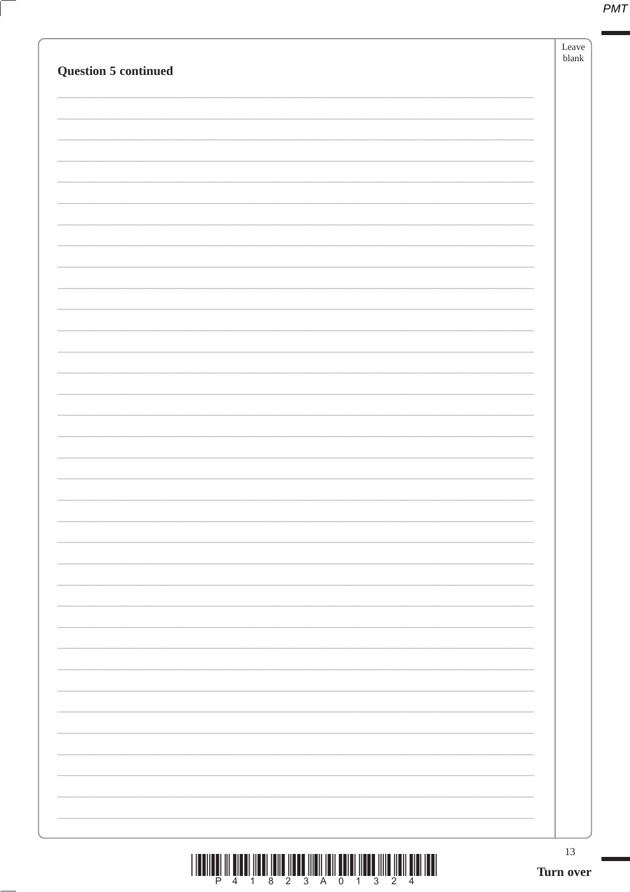|--|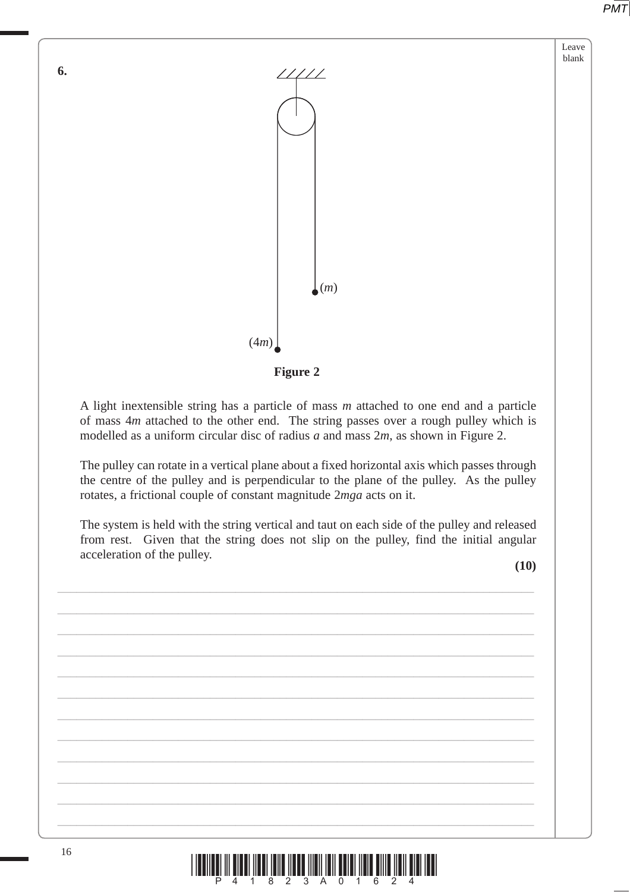Leave blank





A light inextensible string has a particle of mass *m* attached to one end and a particle of mass 4*m* attached to the other end. The string passes over a rough pulley which is modelled as a uniform circular disc of radius *a* and mass 2*m*, as shown in Figure 2.

The pulley can rotate in a vertical plane about a fixed horizontal axis which passes through the centre of the pulley and is perpendicular to the plane of the pulley. As the pulley rotates, a frictional couple of constant magnitude 2*mga* acts on it.

The system is held with the string vertical and taut on each side of the pulley and released from rest. Given that the string does not slip on the pulley, find the initial angular acceleration of the pulley.

\_\_\_\_\_\_\_\_\_\_\_\_\_\_\_\_\_\_\_\_\_\_\_\_\_\_\_\_\_\_\_\_\_\_\_\_\_\_\_\_\_\_\_\_\_\_\_\_\_\_\_\_\_\_\_\_\_\_\_\_\_\_\_\_\_\_\_\_\_\_\_\_\_\_\_

\_\_\_\_\_\_\_\_\_\_\_\_\_\_\_\_\_\_\_\_\_\_\_\_\_\_\_\_\_\_\_\_\_\_\_\_\_\_\_\_\_\_\_\_\_\_\_\_\_\_\_\_\_\_\_\_\_\_\_\_\_\_\_\_\_\_\_\_\_\_\_\_\_\_\_

\_\_\_\_\_\_\_\_\_\_\_\_\_\_\_\_\_\_\_\_\_\_\_\_\_\_\_\_\_\_\_\_\_\_\_\_\_\_\_\_\_\_\_\_\_\_\_\_\_\_\_\_\_\_\_\_\_\_\_\_\_\_\_\_\_\_\_\_\_\_\_\_\_\_\_

\_\_\_\_\_\_\_\_\_\_\_\_\_\_\_\_\_\_\_\_\_\_\_\_\_\_\_\_\_\_\_\_\_\_\_\_\_\_\_\_\_\_\_\_\_\_\_\_\_\_\_\_\_\_\_\_\_\_\_\_\_\_\_\_\_\_\_\_\_\_\_\_\_\_\_

\_\_\_\_\_\_\_\_\_\_\_\_\_\_\_\_\_\_\_\_\_\_\_\_\_\_\_\_\_\_\_\_\_\_\_\_\_\_\_\_\_\_\_\_\_\_\_\_\_\_\_\_\_\_\_\_\_\_\_\_\_\_\_\_\_\_\_\_\_\_\_\_\_\_\_

\_\_\_\_\_\_\_\_\_\_\_\_\_\_\_\_\_\_\_\_\_\_\_\_\_\_\_\_\_\_\_\_\_\_\_\_\_\_\_\_\_\_\_\_\_\_\_\_\_\_\_\_\_\_\_\_\_\_\_\_\_\_\_\_\_\_\_\_\_\_\_\_\_\_\_

\_\_\_\_\_\_\_\_\_\_\_\_\_\_\_\_\_\_\_\_\_\_\_\_\_\_\_\_\_\_\_\_\_\_\_\_\_\_\_\_\_\_\_\_\_\_\_\_\_\_\_\_\_\_\_\_\_\_\_\_\_\_\_\_\_\_\_\_\_\_\_\_\_\_\_

 $\_$  , and the contribution of the contribution of the contribution of the contribution of the contribution of  $\mathcal{L}_\text{max}$ 

\_\_\_\_\_\_\_\_\_\_\_\_\_\_\_\_\_\_\_\_\_\_\_\_\_\_\_\_\_\_\_\_\_\_\_\_\_\_\_\_\_\_\_\_\_\_\_\_\_\_\_\_\_\_\_\_\_\_\_\_\_\_\_\_\_\_\_\_\_\_\_\_\_\_\_

\_\_\_\_\_\_\_\_\_\_\_\_\_\_\_\_\_\_\_\_\_\_\_\_\_\_\_\_\_\_\_\_\_\_\_\_\_\_\_\_\_\_\_\_\_\_\_\_\_\_\_\_\_\_\_\_\_\_\_\_\_\_\_\_\_\_\_\_\_\_\_\_\_\_\_

\_\_\_\_\_\_\_\_\_\_\_\_\_\_\_\_\_\_\_\_\_\_\_\_\_\_\_\_\_\_\_\_\_\_\_\_\_\_\_\_\_\_\_\_\_\_\_\_\_\_\_\_\_\_\_\_\_\_\_\_\_\_\_\_\_\_\_\_\_\_\_\_\_\_\_

\_\_\_\_\_\_\_\_\_\_\_\_\_\_\_\_\_\_\_\_\_\_\_\_\_\_\_\_\_\_\_\_\_\_\_\_\_\_\_\_\_\_\_\_\_\_\_\_\_\_\_\_\_\_\_\_\_\_\_\_\_\_\_\_\_\_\_\_\_\_\_\_\_\_\_

**(10)**



**6.**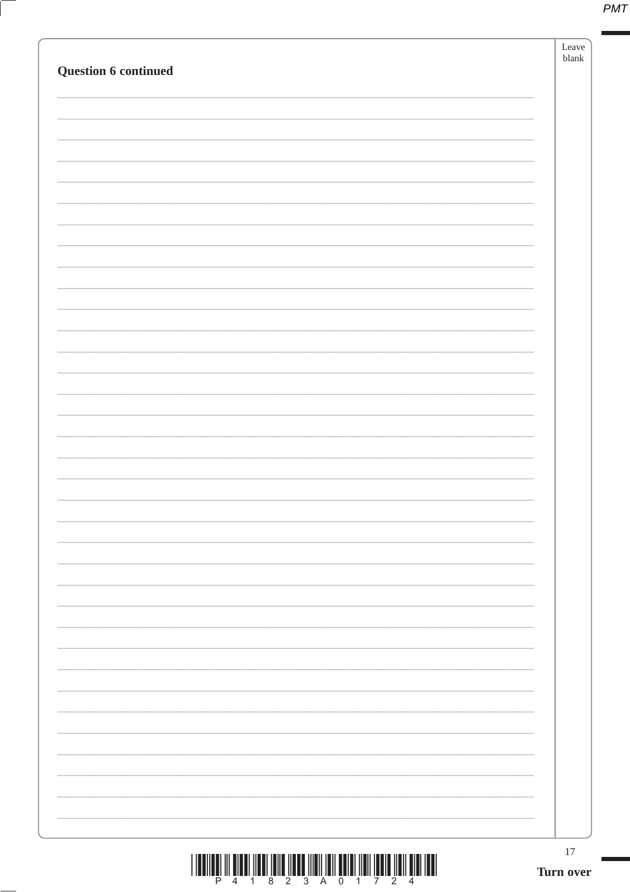|--|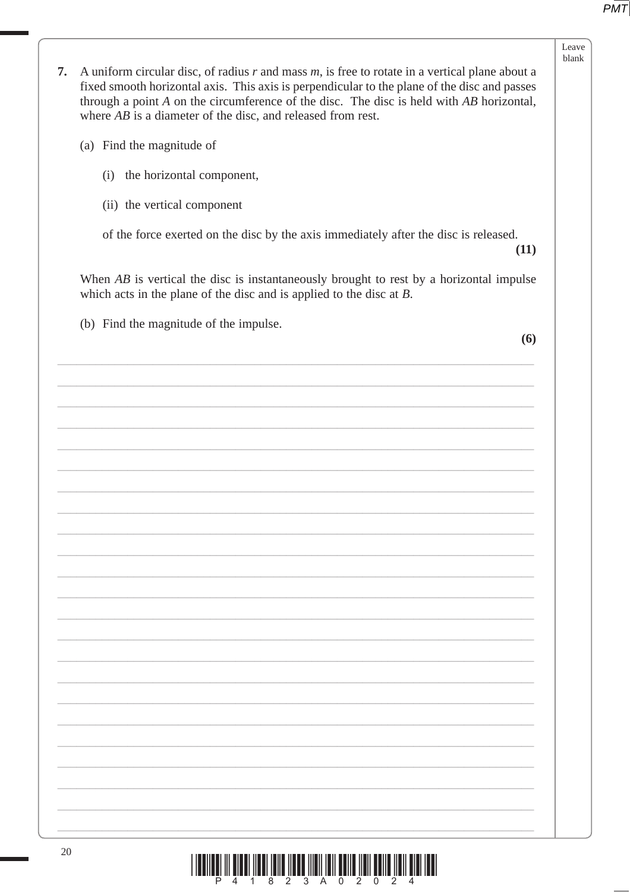|    |                                                                                                                                                                                                                                                                                                                                                                      | Leave<br>blank |
|----|----------------------------------------------------------------------------------------------------------------------------------------------------------------------------------------------------------------------------------------------------------------------------------------------------------------------------------------------------------------------|----------------|
| 7. | A uniform circular disc, of radius $r$ and mass $m$ , is free to rotate in a vertical plane about a<br>fixed smooth horizontal axis. This axis is perpendicular to the plane of the disc and passes<br>through a point $A$ on the circumference of the disc. The disc is held with $AB$ horizontal,<br>where $AB$ is a diameter of the disc, and released from rest. |                |
|    | (a) Find the magnitude of                                                                                                                                                                                                                                                                                                                                            |                |
|    | (i) the horizontal component,                                                                                                                                                                                                                                                                                                                                        |                |
|    | (ii) the vertical component                                                                                                                                                                                                                                                                                                                                          |                |
|    | of the force exerted on the disc by the axis immediately after the disc is released.<br>(11)                                                                                                                                                                                                                                                                         |                |
|    | When $AB$ is vertical the disc is instantaneously brought to rest by a horizontal impulse<br>which acts in the plane of the disc and is applied to the disc at $B$ .                                                                                                                                                                                                 |                |
|    | (b) Find the magnitude of the impulse.<br>(6)                                                                                                                                                                                                                                                                                                                        |                |
|    |                                                                                                                                                                                                                                                                                                                                                                      |                |
|    |                                                                                                                                                                                                                                                                                                                                                                      |                |
|    |                                                                                                                                                                                                                                                                                                                                                                      |                |
|    |                                                                                                                                                                                                                                                                                                                                                                      |                |
|    |                                                                                                                                                                                                                                                                                                                                                                      |                |
|    |                                                                                                                                                                                                                                                                                                                                                                      |                |
|    |                                                                                                                                                                                                                                                                                                                                                                      |                |
|    |                                                                                                                                                                                                                                                                                                                                                                      |                |
|    |                                                                                                                                                                                                                                                                                                                                                                      |                |
|    |                                                                                                                                                                                                                                                                                                                                                                      |                |
|    |                                                                                                                                                                                                                                                                                                                                                                      |                |
|    |                                                                                                                                                                                                                                                                                                                                                                      |                |
|    |                                                                                                                                                                                                                                                                                                                                                                      |                |
|    |                                                                                                                                                                                                                                                                                                                                                                      |                |
|    |                                                                                                                                                                                                                                                                                                                                                                      |                |
|    |                                                                                                                                                                                                                                                                                                                                                                      |                |
|    |                                                                                                                                                                                                                                                                                                                                                                      |                |